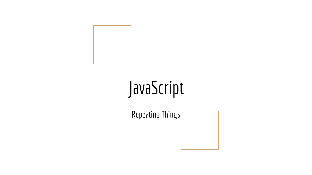# JavaScript

Repeating Things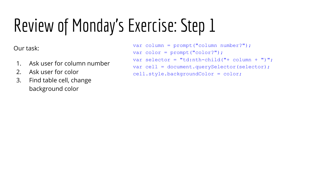Our task:

- 1. Ask user for column number
- 2. Ask user for color
- 3. Find table cell, change background color

```
var column = prompt("column number?");
var color = prompt("color?");
var selector = "td:nth-child("+ column + ")";
var cell = document.querySelector(selector);
cell.style.backgroundColor = color;
```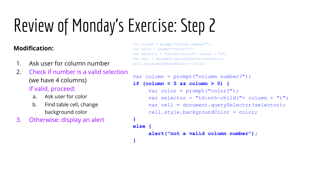**}**

#### **Modification:**

- 1. Ask user for column number
- 2. Check if number is a valid selection (we have 4 columns) If valid, proceed:
	- a. Ask user for color
	- b. Find table cell, change background color
- 3. Otherwise: display an alert

```
var column = prompt("column number?");
var color = prompt("color?");
var selector = "td:nth-child("+ column + ")";
var cell = document.querySelector(selector);
cell.style.backgroundColor = color;
```

```
var column = prompt("column number?");
if (column < 5 && column > 0) {
     var color = prompt("color?");
     var selector = "td:nth-child("+ column + ")";
     var cell = document.querySelector(selector);
     cell.style.backgroundColor = color;
}
else {
     alert("not a valid column number");
```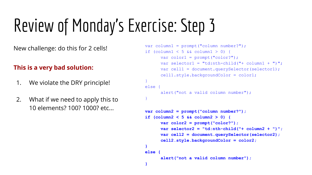#### **This is a very bad solution:**

- 1. We violate the DRY principle!
- 2. What if we need to apply this to 10 elements? 100? 1000? etc...

```
New challenge: do this for 2 cells! var \text{ column} = \text{ prompt}("column number?");if (column1 < 5 && column1 > 0) {
                                                         var color1 = prompt ("color?");
                                                         var selector1 = "td:nth-child("+ column1 +")";
                                                         var cell1 = document.querySelector(selector1);
                                                         cell1.style.backgroundColor = color1;
                                                   }
                                                   else {
```

```
alert("not a valid column number");
}
```

```
var column2 = prompt("column number?");
if (column2 < 5 && column2 > 0) {
      var color2 = prompt("color?");
      var selector2 = "td:nth-child("+ column2 + ")";
      var cell2 = document.querySelector(selector2);
      cell2.style.backgroundColor = color2;
}
else {
```

```
alert("not a valid column number");
```
**}**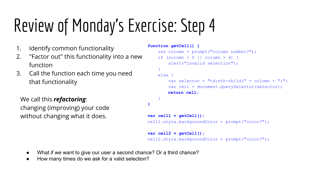- 1. Identify common functionality
- 2. "Factor out" this functionality into a new function
- 3. Call the function each time you need that functionality

We call this *refactoring*: changing (improving) your code without changing what it does.

```
function getCell() {
     var column = prompt("column number?");
    if (column < 0 || column > 4) {
         alert("invalid selection");
 }
     else {
        var selector = "td:nth-child(" + column + ")";
         var cell = document.querySelector(selector);
         return cell;
 }
}
var cell1 = getCell();
cell1.style.backgroundColor = prompt("color?");
var cell2 = getCell();
cell2.style.backgroundColor = prompt("color?");
```
- What if we want to give our user a second chance? Or a third chance?
- How many times do we ask for a valid selection?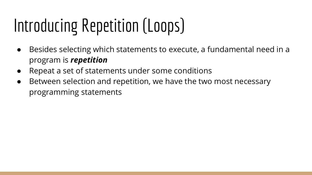# Introducing Repetition (Loops)

- Besides selecting which statements to execute, a fundamental need in a program is *repetition*
- Repeat a set of statements under some conditions
- Between selection and repetition, we have the two most necessary programming statements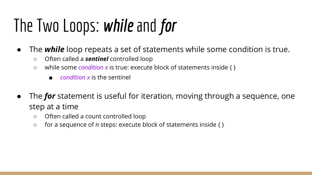## The Two Loops: *while* and *for*

- The *while* loop repeats a set of statements while some condition is true.
	- Often called a *sentinel* controlled loop
	- while some *condition x* is true: execute block of statements inside { }
		- *condition x* is the sentinel
- The *for* statement is useful for iteration, moving through a sequence, one step at a time
	- Often called a count controlled loop
	- for a sequence of *n* steps: execute block of statements inside { }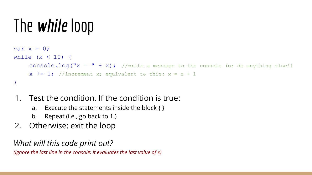### The *while* loop

```
var x = 0;
while (x < 10) {
    console.log("x = " + x); //write a message to the console (or do anything else!)
    x += 1; //increment x; equivalent to this: x = x + 1}
```
### 1. Test the condition. If the condition is true:

- a. Execute the statements inside the block  $\{ \}$
- b. Repeat (i.e., go back to 1.)
- 2. Otherwise: exit the loop

*What will this code print out?*

*(ignore the last line in the console: it evaluates the last value of x)*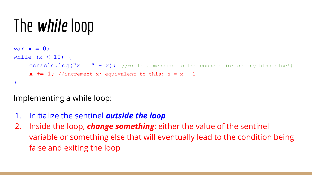### The *while* loop

```
var x = 0;
while (x < 10) {
    console.log("x = " + x); //write a message to the console (or do anything else!)
    x += 1; //increment x; equivalent to this: x = x + 1}
```
### Implementing a while loop:

- 1. Initialize the sentinel *outside the loop*
- 2. Inside the loop, *change something*: either the value of the sentinel variable or something else that will eventually lead to the condition being false and exiting the loop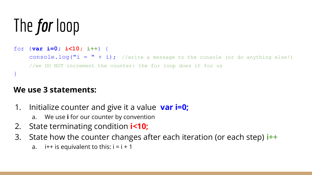## The *for* loop

```
for (var i=0; i<10; i++) {
    console.log("i = " + i); //write a message to the console (or do anything else!)
    //we DO NOT increment the counter: the for loop does it for us
}
```
#### **We use 3 statements:**

- 1. Initialize counter and give it a value **var i=0;**
	- a. We use **i** for our counter by convention
- 2. State terminating condition **i<10;**
- 3. State how the counter changes after each iteration (or each step) **i++**
	- a.  $i++$  is equivalent to this:  $i = i + 1$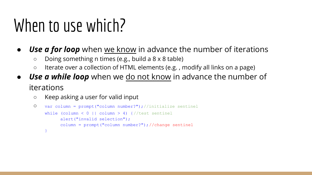### When to use which?

- **Use a for loop** when we know in advance the number of iterations
	- Doing something n times (e.g., build a 8 x 8 table)
	- Iterate over a collection of HTML elements (e.g., modify all links on a page)
- **Use a while loop** when we do not know in advance the number of iterations
	- Keep asking a user for valid input

```
○ var column = prompt("column number?"); //initialize sentinel
    while (column \leq 0 || column > 4) {//test sentinel
          alert("invalid selection");
          column = prompt("column number?"); //change sentinel
    }
```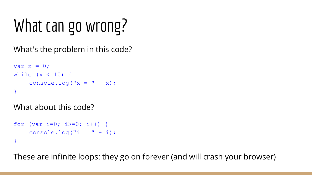# What can go wrong?

What's the problem in this code?

```
var x = 0;
while (x < 10) {
    console.log("x = " + x);
}
```
What about this code?

```
for (var i=0; i>=0; i++) {
    console.log("i = " + i);}
```
These are infinite loops: they go on forever (and will crash your browser)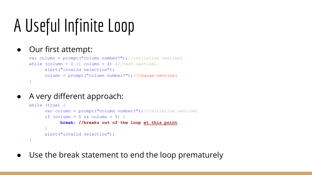### A Useful Infinite Loop

#### ● Our first attempt:

```
var column = prompt("column number?"); // initialize sentinel
while (column \leq 0 || column > 4) {//test sentinel
      alert("invalid selection");
      column = prompt("column number?"); //change sentinel
}
```
A very different approach:

```
while (true)
      var column = prompt("column number?"); //initialize sentinel
      if (column > 0 && column < 5) {
           break; //breaks out of the loop at this point
      }
      alert("invalid selection");
}
```
Use the break statement to end the loop prematurely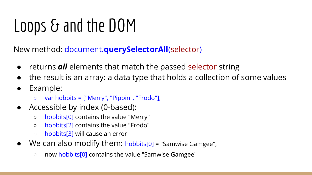## Loops & and the DOM

New method: document.**querySelectorAll**(selector)

- returns *all* elements that match the passed selector string
- the result is an array: a data type that holds a collection of some values
- Example:
	- var hobbits = ["Merry", "Pippin", "Frodo"];
- Accessible by index (0-based):
	- hobbits[0] contains the value "Merry"
	- hobbits[2] contains the value "Frodo"
	- hobbits[3] will cause an error
- We can also modify them: hobbits[0] = "Samwise Gamgee",
	- now hobbits[0] contains the value "Samwise Gamgee"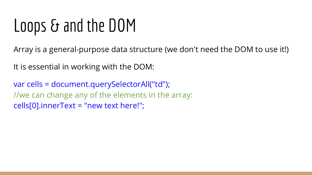### Loops & and the DOM

Array is a general-purpose data structure (we don't need the DOM to use it!)

It is essential in working with the DOM:

var cells = document.querySelectorAll("td"); //we can change any of the elements in the array: cells[0].innerText = "new text here!";